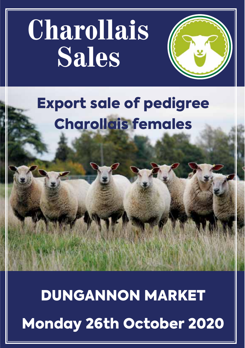# **Charollais Sales**



# Export sale of pedigree Charollais females

DUNGANNON MARKET Monday 26th October 2020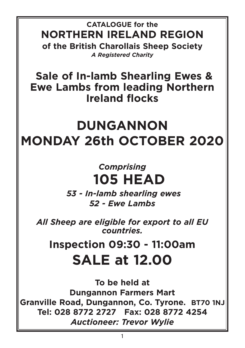**CATALOGUE for the NORTHERN IRELAND REGION of the British Charollais Sheep Society** *A Registered Charity*

**Sale of In-lamb Shearling Ewes & Ewe Lambs from leading Northern Ireland flocks**

## **DUNGANNON MONDAY 26th OCTOBER 2020**

## *Comprising* **105 HEAD**

*53 - In-lamb shearling ewes 52 - Ewe Lambs*

*All Sheep are eligible for export to all EU countries.*

## **Inspection 09:30 - 11:00am SALE at 12.00**

**To be held at Dungannon Farmers Mart Granville Road, Dungannon, Co. Tyrone. BT70 1NJ Tel: 028 8772 2727 Fax: 028 8772 4254** *Auctioneer: Trevor Wylie*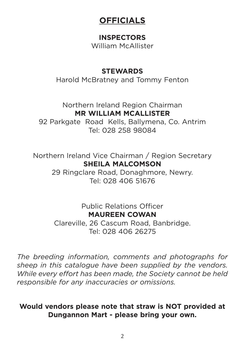## **OFFICIALS**

## **INSPECTORS**

William McAllister

## **STEWARDS**

Harold McBratney and Tommy Fenton

Northern Ireland Region Chairman **MR WILLIAM MCALLISTER**

92 Parkgate Road Kells, Ballymena, Co. Antrim Tel: 028 258 98084

Northern Ireland Vice Chairman / Region Secretary **SHEILA MALCOMSON**

29 Ringclare Road, Donaghmore, Newry. Tel: 028 406 51676

> Public Relations Officer **MAUREEN COWAN**

Clareville, 26 Cascum Road, Banbridge. Tel: 028 406 26275

*The breeding information, comments and photographs for sheep in this catalogue have been supplied by the vendors. While every effort has been made, the Society cannot be held responsible for any inaccuracies or omissions.*

## **Would vendors please note that straw is NOT provided at Dungannon Mart - please bring your own.**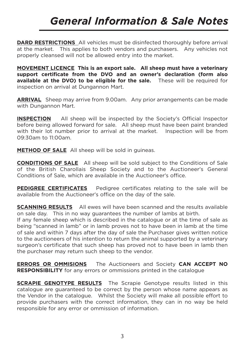## *General Information & Sale Notes*

**DARD RESTRICTIONS** All vehicles must be disinfected thoroughly before arrival at the market. This applies to both vendors and purchasers. Any vehicles not properly cleansed will not be allowed entry into the market.

**MOVEMENT LICENCE This is an export sale. All sheep must have a veterinary support certificate from the DVO and an owner's declaration (form also available at the DVO) to be eligible for the sale.** These will be required for inspection on arrival at Dungannon Mart.

**ARRIVAL** Sheep may arrive from 9.00am. Any prior arrangements can be made with Dungannon Mart.

**INSPECTION** All sheep will be inspected by the Society's Official Inspector before being allowed forward for sale. All sheep must have been paint branded with their lot number prior to arrival at the market. Inspection will be from 09:30am to 11:00am.

**METHOD OF SALE** All sheep will be sold in guineas.

**CONDITIONS OF SALE** All sheep will be sold subject to the Conditions of Sale of the British Charollais Sheep Society and to the Auctioneer's General Conditions of Sale, which are available in the Auctioneer's office.

**PEDIGREE CERTIFICATES** Pedigree certificates relating to the sale will be available from the Auctioneer's office on the day of the sale.

**SCANNING RESULTS** All ewes will have been scanned and the results available on sale day. This in no way guarantees the number of lambs at birth.

If any female sheep which is described in the catalogue or at the time of sale as being "scanned in lamb" or in lamb proves not to have been in lamb at the time of sale and within 7 days after the day of sale the Purchaser gives written notice to the auctioneers of his intention to return the animal supported by a veterinary surgeon's certificate that such sheep has proved not to have been in lamb then the purchaser may return such sheep to the vendor.

**ERRORS OR OMMISIONS** The Auctioneers and Society **CAN ACCEPT NO RESPONSIBILITY** for any errors or ommissions printed in the catalogue

**SCRAPIE GENOTYPE RESULTS** The Scrapie Genotype results listed in this catalogue are guaranteed to be correct by the person whose name appears as the Vendor in the catalogue. Whilst the Society will make all possible effort to provide purchasers with the correct information, they can in no way be held responsible for any error or ommission of information.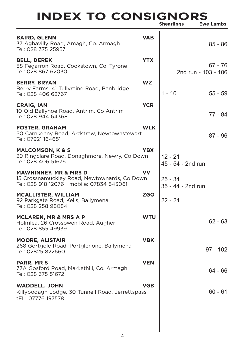# **INDEX TO CONSIGNORS Shearlings Ewe Lambs**

|                                                                                                                             |            | Shearlings                     | <b>EWE Lambs</b>                 |
|-----------------------------------------------------------------------------------------------------------------------------|------------|--------------------------------|----------------------------------|
| <b>BAIRD, GLENN</b><br>37 Aghavilly Road, Amagh, Co. Armagh<br>Tel: 028 375 25957                                           | <b>VAB</b> |                                | $85 - 86$                        |
| <b>BELL, DEREK</b><br>58 Fegarron Road, Cookstown, Co. Tyrone<br>Tel: 028 867 62030                                         | <b>YTX</b> |                                | $67 - 76$<br>2nd run - 103 - 106 |
| <b>BERRY, BRYAN</b><br>Berry Farms, 41 Tullyraine Road, Banbridge<br>Tel: 028 406 62767                                     | <b>WZ</b>  | 1 - 10                         | $55 - 59$                        |
| <b>CRAIG, IAN</b><br>10 Old Ballynoe Road, Antrim, Co Antrim<br>Tel: 028 944 64368                                          | <b>YCR</b> |                                | 77 - 84                          |
| <b>FOSTER, GRAHAM</b><br>50 Carnkenny Road, Ardstraw, Newtownstewart<br>Tel: 07921 164651                                   | <b>WLK</b> |                                | $87 - 96$                        |
| <b>MALCOMSON, K &amp; S</b><br>29 Ringclare Road, Donaghmore, Newry, Co Down<br>Tel: 028 406 51676                          | <b>YBX</b> | $12 - 21$<br>45 - 54 - 2nd run |                                  |
| <b>MAWHINNEY, MR &amp; MRS D</b><br>15 Crossnamuckley Road, Newtownards, Co Down<br>Tel: 028 918 12076 mobile: 07834 543061 | vv         | $25 - 34$<br>35 - 44 - 2nd run |                                  |
| <b>MCALLISTER, WILLIAM</b><br>92 Parkgate Road, Kells, Ballymena<br>Tel: 028 258 98084                                      | <b>ZGQ</b> | 22 - 24                        |                                  |
| <b>MCLAREN, MR &amp; MRS A P</b><br>Holmlea, 26 Crossowen Road, Augher<br>Tel: 028 855 49939                                | <b>WTU</b> |                                | $62 - 63$                        |
| <b>MOORE, ALISTAIR</b><br>268 Gortgole Road, Portglenone, Ballymena<br>Tel: 02825 822660                                    | <b>VBK</b> |                                | $97 - 102$                       |
| PARR, MR S<br>77A Gosford Road, Markethill, Co. Armagh<br>Tel: 028 375 51672                                                | <b>VEN</b> |                                | $64 - 66$                        |
| <b>WADDELL, JOHN</b><br>Killybodagh Lodge, 30 Tunnell Road, Jerrettspass<br>tEL: 07776 197578                               | <b>VGB</b> |                                | $60 - 61$                        |
|                                                                                                                             |            |                                |                                  |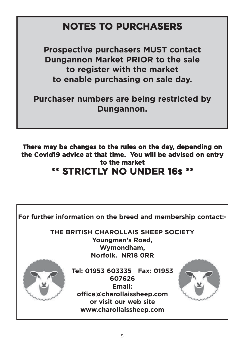## **NOTES TO PURCHASERS**

**Prospective purchasers MUST contact Dungannon Market PRIOR to the sale to register with the market to enable purchasing on sale day.** 

**Purchaser numbers are being restricted by Dungannon.**

**There may be changes to the rules on the day, depending on the Covid19 advice at that time. You will be advised on entry to the market \*\* STRICTLY NO UNDER 16s \*\***

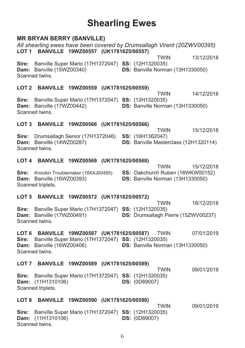## **Shearling Ewes**

## **MR BRYAN BERRY (BANVILLE)**

#### All shearling ewes have been covered by Drumsallagh Virent (20ZWV00395) LOT 1 BANVILLE 19WZ00557 (UK1781625/00557) **TWIN** 13/12/2018 Sire: Banville Super Mario (17H1372047) SS: (12H1320035) Dam: Banville (15WZ00340) DS: Banville Norman (13H1330050) Scanned twins LOT 2 BANVILLE 19WZ00559 (UK1781625/00559) 14/12/2018 **TWIN** Sire: Banville Super Mario (17H1372047) SS: (12H1320035) Dam: Banville (17WZ00442) DS: Banville Norman (13H1330050) Scanned twins LOT 3 BANVILLE 19WZ00566 (UK1781625/00566)

**TWIN** 15/12/2018

Sire: Drumsallagh Senior (17H1372046) SS: (16H1362047) Dam: Banville (14WZ00287) DS: Banville Masterclass (12H1320114) Scanned twins

## LOT 4 BANVILLE 19WZ00568 (UK1781625/00568)

**TWIN** 15/12/2018 Sire: Knockin Troublemaker (18XXJ00495) SS: Oakchurch Ruben (16WKW00152) Dam: Banville (16WZ00393) DS: Banville Norman (13H1330050) Scanned triplets.

## LOT 5 BANVILLE 19WZ00572 (UK1781625/00572)

**TWIN** 16/12/2018 Sire: Banville Super Mario (17H1372047) SS: (12H1320035) Dam: Banville (17WZ00491) DS: Drumsallagh Pierre (15ZWV00237) Scanned twins.

LOT 6 BANVILLE 19WZ00587 (UK1781625/00587) TWIN 07/01/2019 Sire: Banville Super Mario (17H1372047) SS: (12H1320035) Dam: Banville (16WZ00406) DS: Banville Norman (13H1330050) Scanned twins

## LOT 7 BANVILLE 19WZ00589 (UK1781625/00589)

**TWIN** 09/01/2019 Sire: Banville Super Mario (17H1372047) SS: (12H1320035) Dam: (11H1310106) **DS: (0D89007)** Scanned triplets.

## LOT 8 BANVILLE 19WZ00590 (UK1781625/00590)

**TWIN** 09/01/2019 Sire: Banville Super Mario (17H1372047) SS: (12H1320035) **Dam:** (11H1310106) **DS: (0D89007)** Scanned twins.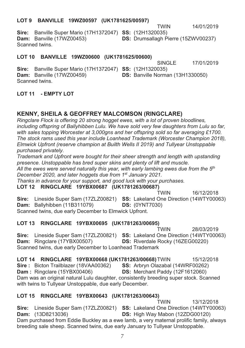## LOT 9 BANVILLE 19WZ00597 (UK1781625/00597)

WIN 14/01/2019

**Sire:** Banville Super Mario (17H1372047) **SS:** (12H1320035) **Dam:** Banville (17WZ00453)  $(17WZ00453)$  **DS:** Drumsallagh Pierre  $(15ZWV00237)$ Scanned twins.

## LOT 10 BANVILLE 19WZ00600 (UK1781625/00600)

 $SINGL$  $F$ 17/01/2019

**TWIN** 

**Sire:** Banville Super Mario (17H1372047) **SS:** (12H1320035) **Dam:** Banville (17WZ00459) (17WZ00459) **DS:** Banville Norman (13H1330050) Scanned twins.

## **- !" -**

## $\blacksquare$  & GEOFFREY MALCOMSON (RINGCLARE)

*Ringclare Flock is offering 20 strong hogget ewes, with a lot of proven bloodlines, including offspring of Ballyhibben Lulu. We have sold very few daughters from Lulu so far, with sales topping Worcester at 3,000gns and her offspring sold so far averaging £1700. The stock rams used this year include Loanhead Trademark (Worcester Champion 2018), Elmwick Upfront (reserve champion at Builth Wells II 2019) and Tullyear Unstoppable purchased privately.* 

*Trademark and Upfront were bought for their sheer strength and length with upstanding presence. Unstoppable has bred super skins and plenty of lift and muscle.* 

*All the ewes were served naturally this year, with early lambing ewes due from the 5th December 2020, and later hoggets due from 1st January 2021.* 

*Thanks in advance for your support, and good luck with your purchases.* 

LOT 12 RINGCLARE 19YBX00687 (UK1781263/00687) **TWIN** WIN 16/12 /2018 **Sire:** Lineside Super Sam (17ZLZ00821) **SS:** Lakeland One Direction (14WTY00063) **Dam:** Ballyhibben (11B311079) **DS:** (0YNT7030)

Scanned twins, due early December to Elmwick Upfront.

## **- +( &)-("\*+**

TWIN 2 8/03/2019 **Sire:** Lineside Super Sam (17ZLZ00821) **SS:** Lakeland One Direction (14WTY00063) **Dam:** Ringclare (17YBX00507)  $(S: Riverdale Rocky (16ZEG00220))$ Scanned twins, due early December to Loanhead Trademark

LOT 14 RI **NGCLARE 19YBX00668 (UK1781263/00668)** T WIN 15/12/2018 **Sire: Bicton Trailblazer (18VAA00362**  $)$  SS: Arbryn Olazabal (14WRF00262) **Dam**: Ringclare (15YBX00406) **DS:** Merchant Paddy (12F1612060) Dam was an original natural Lulu daughter, consistently breeding super stock. Scanned with twins to Tullyear Unstoppable, due early December.

## **- ( &)-("\*,++,+**-

**TWIN** WIN 13/12 /2018 **Sire:** Lineside Super Sam (17ZLZ00821) **SS:** Lakeland One Direction (14WTY00063) **Dam:** (13D82 13036)  $DS: High Way Mabon (12ZDG00120)$ Dam purchased from Eddie Buckley as a ewe lamb, a very maternal prolific family, always breeding sale sheep. Scanned twins, due early January to Tullyear Unstoppable.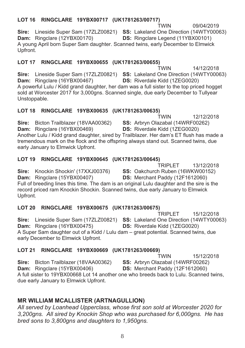#### LOT 16 RINGCLARE 19YBX00717 (UK1781263/00717) **TWIN**

Sire: Lineside Super Sam (17ZLZ00821) SS: Lakeland One Direction (14WTY00063) Dam: Ringclare (12YBX00170) DS: Ringclare Legend (11YBX00101) A young April born Super Sam daughter. Scanned twins, early December to Elmwick Upfront.

## LOT 17 RINGCLARE 19YBX00655 (UK1781263/00655)

14/12/2018 Sire: Lineside Super Sam (17ZLZ00821) SS: Lakeland One Direction (14WTY00063) Dam: Ringclare (16YBX00467) DS: Riverdale Kidd (1ZEG0020) A powerful Lulu / Kidd grand daughter, her dam was a full sister to the top priced hogget sold at Worcester 2017 for 3,000gns. Scanned single, due early December to Tullyear Unstoppable.

## LOT 18 RINGCLARE 19YBX00635 (UK1781263/00635)

12/12/2018 **TWIN** SS: Arbryn Olazabal (14WRF00262) Sire: Bicton Trailblazer (18VAA00362) Dam: Ringclare (16YBX00469) **DS:** Riverdale Kidd (1ZEG0020) Another Lulu / Kidd grand daughter, sired by Trailblazer. Her dam's ET flush has made a tremendous mark on the flock and the offspring always stand out. Scanned twins, due early January to Elmwick Upfront.

## LOT 19 RINGCLARE 19YBX00645 (UK1781263/00645)

TRIPLET 13/12/2018

Sire: Knockin Shockin' (17XXJ00376) SS: Oakchurch Ruben (16WKW00152) Dam: Ringclare (15YBX00407) DS: Merchant Paddy (12F1612060) Full of breeding lines this time. The dam is an original Lulu daughter and the sire is the record priced ram Knockin Shockin. Scanned twins, due early January to Elmwick Upfront.

## LOT 20 RINGCLARE 19YBX00675 (UK1781263/00675)

TRIPI FT 15/12/2018 Sire: Lineside Super Sam (17ZLZ00821) SS: Lakeland One Direction (14WTY00063) Dam: Ringclare (16YBX00475) DS: Riverdale Kidd (1ZEG0020) A Super Sam daughter out of a Kidd / Lulu dam - great potential. Scanned twins, due early December to Elmwick Upfront.

#### **LOT 21** RINGCLARE 19YBX00669 (UK1781263/00669)

15/12/2018 **TWIN** Sire: Bicton Trailblazer (18VAA00362) SS: Arbryn Olazabal (14WRF00262) Dam: Ringclare (15YBX00406) DS: Merchant Paddy (12F1612060) A full sister to 19YBX00668 Lot 14 another one who breeds back to Lulu. Scanned twins, due early January to Elmwick Upfront.

## **MR WILLIAM MCALLISTER (ARTNAGULLION)**

All served by Loanhead Upperclass, whose first son sold at Worcester 2020 for 3.200qns. All sired by Knockin Shop who was purchased for 6,000gns. He has bred sons to 3,800gns and daughters to 1,950gns.

## **TWIN**

09/04/2019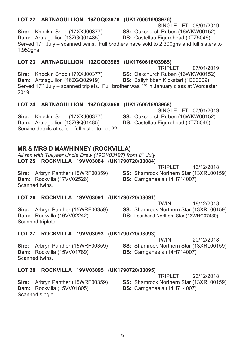## LOT 22 ARTNAGULLION 19ZGQ03976 (UK1760616/03976)

SINGLE - ET 08/01/2019

SS: Oakchurch Ruben (16WKW00152) **DS: Castellau Figurehead (0TZ5046)** 

Sire: Knockin Shop (17XXJ00377) Dam: Artnagullion (13ZGQ01485)

Served  $17<sup>th</sup>$  July – scanned twins. Full brothers have sold to 2.300 ans and full sisters to 1,950gns.

## LOT 23 ARTNAGULLION 19ZGQ03965 (UK1760616/03965)

**TRIPLET** 07/01/2019 Sire: Knockin Shop (17XXJ00377) SS: Oakchurch Ruben (16WKW00152) Dam: Artnagullion (16ZGQ02919) **DS: Ballyhibben Kickstart (1B30009)** Served 17th July - scanned triplets. Full brother was 1<sup>st</sup> in January class at Worcester 2019.

## LOT 24 ARTNAGULLION 19ZGQ03968 (UK1760616/03968)

Sire: Knockin Shop (17XXJ00377) Dam: Artnagullion (13ZGQ01485) Service details at sale – full sister to Lot 22

## **MR & MRS D MAWHINNEY (ROCKVILLA)**

All ran with Tullvear Uncle Drew (190Y03197) from 8th July LOT 25 ROCKVILLA 19VV03084 (UK1790720/03084)

Sire: Arbryn Panther (15WRF00359) Dam: Rockvilla (17VV02526) Scanned twins

TRIPI FT 13/12/2018

## LOT 26 ROCKVILLA 19VV03091 (UK1790720/03091)

Sire: Arbryn Panther (15WRF00359) Dam: Rockvilla (16VV02242) Scanned triplets.

LOT 27 ROCKVILLA 19VV03093 (UK1790720/03093)

Sire: Arbryn Panther (15WRF00359) Dam: Rockvilla (15VV01789) Scanned twins.

LOT 28 ROCKVILLA 19VV03095 (UK1790720/03095)

Sire: Arbryn Panther (15WRF00359) **Dam:** Rockvilla (15VV01805) Scanned single.

**TRIPLET** 23/12/2018

18/12/2018

20/12/2018

- SS: Shamrock Northern Star (13XRL00159)
- DS: Carriganeela (14H714007)

SS: Shamrock Northern Star (13XRL00159) DS: Carriganeela (14H714007)

SS: Shamrock Northern Star (13XRL00159)

SS: Shamrock Northern Star (13XRL00159)

**DS:** Loanhead Northern Star (13WNC07430)

**TWIN** 

**TWIN** 

DS: Carriganeela (14H714007)

SINGLE-FT 07/01/2019

- SS: Oakchurch Ruben (16WKW00152)
- DS: Castellau Figurehead (0TZ5046)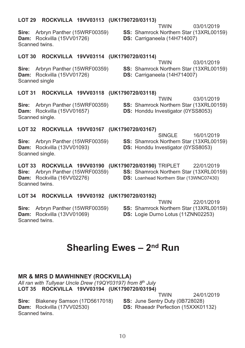## LOT 29 ROCKVILLA 19VV03113 (UK1790720/03113)

Sire: Arbryn Panther (15WRF00359) Dam: Rockvilla (15VV01726) Scanned twins.

**TWIN** 03/01/2019 SS: Shamrock Northern Star (13XRL00159)

DS: Carriganeela (14H714007)

**TWIN** 

DS: Carriganeela (14H714007)

## LOT 30 ROCKVILLA 19VV03114 (UK1790720/03114)

Sire: Arbryn Panther (15WRF00359) Dam: Rockvilla (15VV01726) Scanned single

SS: Shamrock Northern Star (13XRL00159)

03/01/2019

## LOT 31 ROCKVILLA 19VV03118 (UK1790720/03118)

Sire: Arbryn Panther (15WRF00359) Dam: Rockvilla (15VV01657) Scanned single.

**TWIN** 03/01/2019 SS: Shamrock Northern Star (13XRL00159) DS: Honddu Investigator (0YSS8053)

### LOT 32 ROCKVILLA 19VV03167 (UK1790720/03167)

Sire: Arbryn Panther (15WRF00359) Dam: Rockvilla (13VV01093) Scanned single.

SINGLE. 16/01/2019 SS: Shamrock Northern Star (13XRL00159) **DS:** Honddu Investigator (0YSS8053)

LOT 33 ROCKVILLA 19VV03190 (UK1790720/03190) TRIPLET 22/01/2019 Sire: Arbryn Panther (15WRF00359) SS: Shamrock Northern Star (13XRL00159) Dam: Rockvilla (16VV02276) **DS:** Loanhead Northern Star (13WNC07430) Scanned twins.

### LOT 34 ROCKVILLA 19VV03192 (UK1790720/03192)

Sire: Arbryn Panther (15WRF00359) Dam: Rockvilla (13VV01069) Scanned twins.

**TWIN** 22/01/2019 SS: Shamrock Northern Star (13XRL00159) DS: Logie Durno Lotus (11ZNN02253)

## Shearling Ewes - 2<sup>nd</sup> Run

## **MR & MRS D MAWHINNEY (ROCKVILLA)**

All ran with Tullyear Uncle Drew (19QY03197) from 8th July LOT 35 ROCKVILLA 19VV03194 (UK1790720/03194)

Sire: Blakeney Samson (17D5617018) Dam: Rockvilla (17VV02530) Scanned twins.

SS: June Sentry Duty (0B728028) **DS:** Rhaeadr Perfection (15XXK01132)

**TWIN** 

24/01/2019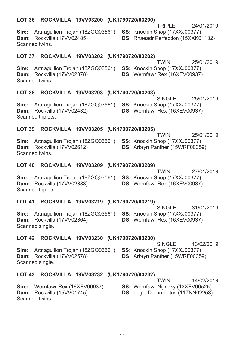## LOT 36 ROCKVILLA 19VV03200 (UK1790720/03200)

Sire: Artnagullion Trojan (18ZGQ03561) SS: Knockin Shop (17XXJ00377) Dam: Rockvilla (17VV02485) Scanned twins

LOT 37 ROCKVILLA 19VV03202 (UK1790720/03202) **TWIN** 

Sire: Artnagullion Trojan (18ZGQ03561) SS: Knockin Shop (17XXJ00377) Dam: Rockvilla (17VV02378) Scanned twins

### LOT 38 ROCKVILLA 19VV03203 (UK1790720/03203)

Artnogyllian Traian (1970002561) **SS**, Knogkin Shan (17YY 100277) Sire: Dam Scan

## LOT

Sire: Dam: Rockvilla (17VV02612) **DS:** Arbryn Panther (15WRF00359) Scanned twins

### LOT 40 ROCKVILLA 19VV03209 (UK1790720/03209)

Sire: Artnagullion Trojan (18ZGQ03561) SS: Knockin Shop (17XXJ00377) Dam: Rockvilla (17VV02383) Scanned triplets.

## LOT 41 ROCKVILLA 19VV03219 (UK1790720/03219)

Sire: Artnagullion Troian (18ZGQ03561) SS: Knockin Shop (17XXJ00377) Dam: Rockvilla (17VV02364) Scanned single.

SINGLE 31/01/2019 DS: Wernfawr Rex (16XEV00937)

**TWIN** 

DS: Wernfawr Rex (16XEV00937)

## LOT 42 ROCKVILLA 19VV03230 (UK1790720/03230)

Sire: Artnagullion Trojan (18ZGQ03561) SS: Knockin Shop (17XXJ00377) Dam: Rockvilla (17VV02578) Scanned single.

13/02/2019 **SINGLE DS:** Arbryn Panther (15WRF00359)

## LOT 43 ROCKVILLA 19VV03232 (UK1790720/03232)

|                                        | <b>TWIN</b>                               | 14/02/2019 |
|----------------------------------------|-------------------------------------------|------------|
| <b>Sire:</b> Wernfawr Rex (16XEV00937) | <b>SS: Wernfawr Nijinsky (13XEV00525)</b> |            |
| <b>Dam:</b> Rockvilla (15VV01745)      | <b>DS:</b> Logie Durno Lotus (11ZNN02253) |            |
| Scanned twins.                         |                                           |            |

| : Arthaquillon Trojan (18ZGQ03561)<br><b>EXECO EXECUTE:</b> Rockvilla (17VV02432)<br>nned triplets. | <b>SS:</b> Knockin Shop (1/XXJ003/7)<br><b>DS:</b> Wernfawr Rex (16XEV00937) |            |  |  |
|-----------------------------------------------------------------------------------------------------|------------------------------------------------------------------------------|------------|--|--|
| 39.<br>ROCKVILLA 19VV03205 (UK1790720/03205)                                                        |                                                                              |            |  |  |
|                                                                                                     | <b>TWIN</b>                                                                  | 25/01/2019 |  |  |
| : Artnagullion Trojan (18ZGQ03561)                                                                  | <b>SS:</b> Knockin Shop (17XXJ00377)                                         |            |  |  |
| $\mathsf{L}$ Declaribe (47) A100040)                                                                | $\mathbf{R}$ . Ashmun Donthon (15) NDF00250)                                 |            |  |  |

SINGLE

**DS: Rhaeadr Perfection (15XXK01132)** 

DS: Wernfawr Rex (16XEV00937)

**TRIPI FT** 24/01/2019

25/01/2019

25/01/2019

27/01/2019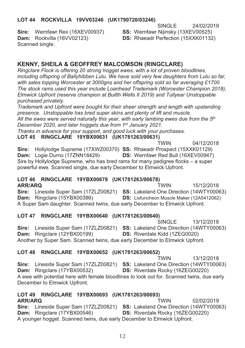## LOT 44 ROCKVILLA 19VV03246 (UK1790720/03246)

SINGLE. 24/02/2019

Sire: Wernfawr Rex (16XEV00937) Dam: Rockvilla (16VV02123) Scanned single.

SS: Wernfawr Nijinsky (13XEV00525) **DS: Rhaeadr Perfection (15XXK01132)** 

## **KENNY, SHEILA & GEOFFREY MALCOMSON (RINGCLARE)**

Ringclare Flock is offering 20 strong hogget ewes, with a lot of proven bloodlines, including offspring of Ballyhibben Lulu. We have sold very few daughters from Lulu so far. with sales topping Worcester at 3000gns and her offspring sold so far averaging £1700. The stock rams used this vear include Loanhead Trademark (Worcester Champion 2018). Elmwick Upfront (reserve champion at Builth Wells II 2019) and Tullyear Unstoppable purchased privately.

Trademark and Upfront were bought for their sheer strength and length with upstanding presence. Unstoppable has bred super skins and plenty of lift and muscle. All the ewes were served naturally this year, with early lambing ewes due from the  $5<sup>th</sup>$ December 2020, and later hoggets due from 1<sup>st</sup> January 2021.

Thanks in advance for your support, and good luck with your purchases.

LOT 45 RINGCLARE 19YBX00631 (UK1781263/00631)

**TWIN** 04/12/2018 Sire: Hollylodge Supreme (17XWZ00370) SS: Rhaeadr Prospect (15XXK01129) Dam: Logie Durno (17ZNN18429) DS: Wernfawr Red Bull (16XEV00947) Sire by Hollylodge Supreme, who has bred rams for many pedigree flocks - a super powerful ewe. Scanned single, due early December to Elmwick Upfront.

## LOT 46 RINGCLARE 19YBX00678 (UK1781263/00678)

**ARR/ARO TWIN** 15/12/2018 Sire: Lineside Super Sam (17ZLZ00821) SS: Lakeland One Direction (14WTY00063) Dam: Ringclare (15YBX00386) DS: Lisfuncheon Muscle Maker (12A5412062) A Super Sam daughter. Scanned twins, due early December to Elmwick Upfront.

## LOT 47 RINGCLARE 19YBX00640 (UK1781263/00640)

SINGLE 13/12/2018 Sire: Lineside Super Sam (17ZLZ00821) SS: Lakeland One Direction (14WTY00063) Dam: Ringclare (12YBX00199) DS: Riverdale Kidd (1ZEG0020) Another by Super Sam. Scanned twins, due early December to Elmwick Upfront.

## LOT 48 RINGCLARE 19YBX00652 (UK1781263/00652)

**TWIN** 13/12/2018 Sire: Lineside Super Sam (17ZLZ00821) SS: Lakeland One Direction (14WTY00063) Dam: Ringclare (17YBX00532) DS: Riverdale Rocky (16ZEG00220) A ewe with potential here with female bloodlines to look out for. Scanned twins, due early December to Elmwick Upfront.

## LOT 49 RINGCLARE 19YBX00693 (UK1781263/00693)

02/02/2019 ARR/ARO **TWIN** Sire: Lineside Super Sam (17ZLZ00821) SS: Lakeland One Direction (14WTY00063) Dam: Ringclare (17YBX00546) DS: Riverdale Rocky (16ZEG00220) A younger hogget. Scanned twins, due early December to Elmwick Upfront.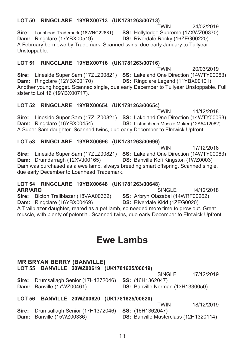### LOT 50 RINGCLARE 19YBX00713 (UK1781263/00713) **TWIN**

24/02/2019

SS: Hollylodge Supreme (17XWZ00370) Sire: Loanhead Trademark (18WNC22681) **DS:** Riverdale Rocky (16ZEG00220) Dam: Ringclare (17YBX00519) A February born ewe by Trademark. Scanned twins, due early January to Tullyear Unstoppable.

#### **LOT 51** RINGCLARE 19YBX00716 (UK1781263/00716)

**TWIN** 20/03/2019 Sire: Lineside Super Sam (17ZLZ00821) SS: Lakeland One Direction (14WTY00063) Dam: Ringclare (12YBX00170) DS: Ringclare Legend (11YBX00101) Another young hogget. Scanned single, due early December to Tullyear Unstoppable. Full sister to Lot 16 (19YBX00717).

## LOT 52 RINGCLARE 19YBX00654 (UK1781263/00654)

**TWIN** 14/12/2018 Sire: Lineside Super Sam (17ZLZ00821) SS: Lakeland One Direction (14WTY00063) Dam: Ringclare (16YBX00454) DS: Lisfuncheon Muscle Maker (12A5412062) A Super Sam daughter. Scanned twins, due early December to Elmwick Upfront.

## LOT 53 RINGCLARE 19YBX00696 (UK1781263/00696)

**TWIN** 17/12/2018 Sire: Lineside Super Sam (17ZLZ00821) SS: Lakeland One Direction (14WTY00063) Dam: Drumdarragh (12XVJ00165) DS: Banville Kofi Kingston (1WZ0003) Dam was purchased as a ewe lamb, always breeding smart offspring. Scanned single, due early December to Loanhead Trademark.

#### LOT 54 RINGCLARE 19YBX00648 (UK1781263/00648) ARR/ARQ **SINGLE**

SS: Arbryn Olazabal (14WRF00262) Sire: Bicton Trailblazer (18VAA00362) Dam: Ringclare (16YBX00469) DS: Riverdale Kidd (1ZEG0020) A Trailblazer daughter, reared as a pet lamb, so needed more time to grow out. Great muscle, with plenty of potential, Scanned twins, due early December to Elmwick Upfront.

## **Ewe Lambs**

## **MR BRYAN BERRY (BANVILLE)**

LOT 55 BANVILLE 20WZ00619 (UK1781625/00619)

17/12/2019

14/12/2018

Sire: Drumsallagh Senior (17H1372046) SS: (16H1362047) Dam: Banville (17WZ00461) DS: Banville Norman (13H1330050)

## LOT 56 BANVILLE 20WZ00620 (UK1781625/00620)

Sire: Drumsallagh Senior (17H1372046) Dam: Banville (15WZ00336)

**TWIN** 18/12/2019

SS: (16H1362047)

SINGLE.

**DS: Banville Masterclass (12H1320114)**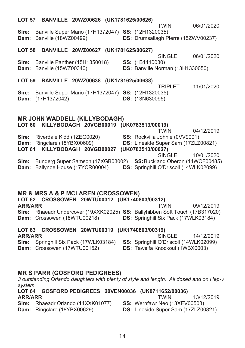|                                                                                                                      |                      | LOT 57 BANVILLE 20WZ00626 (UK1781625/00626)                      |  |                        |                                                                                   |            |
|----------------------------------------------------------------------------------------------------------------------|----------------------|------------------------------------------------------------------|--|------------------------|-----------------------------------------------------------------------------------|------------|
| Sire:<br>Dam:                                                                                                        | Banville (18WZ00499) | Banville Super Mario (17H1372047) SS: (12H1320035)               |  |                        | <b>TWIN</b><br>DS: Drumsallagh Pierre (15ZWV00237)                                | 06/01/2020 |
|                                                                                                                      |                      | LOT 58 BANVILLE 20WZ00627 (UK1781625/00627)                      |  |                        | <b>SINGLE</b>                                                                     | 06/01/2020 |
| Sire:<br>Dam:                                                                                                        | Banville (15WZ00340) | Banville Panther (15H1350018)                                    |  | SS: (1B1410030)        | DS: Banville Norman (13H1330050)                                                  |            |
|                                                                                                                      |                      | LOT 59 BANVILLE 20WZ00638 (UK1781625/00638)                      |  |                        |                                                                                   |            |
| Sire:<br>Dam:                                                                                                        | (17H1372042)         | Banville Super Mario (17H1372047) SS: (12H1320035)               |  | <b>DS:</b> (13N630095) | <b>TRIPLET</b>                                                                    | 11/01/2020 |
| <b>MR JOHN WADDELL (KILLYBODAGH)</b><br>LOT 60 KILLYBODAGH 20VGB00019 (UK0783513/00019)<br>04/12/2019<br><b>TWIN</b> |                      |                                                                  |  |                        |                                                                                   |            |
|                                                                                                                      |                      | Sire: Riverdale Kidd (1ZEG0020)                                  |  |                        | SS: Rockvilla Johnie (0VV9001)                                                    |            |
|                                                                                                                      |                      | Dam: Ringclare (18YBX00609)<br>LOT 61 KILLYBODAGH 20VGB00027     |  | (UK0783513/00027)      | DS: Lineside Super Sam (17ZLZ00821)                                               |            |
|                                                                                                                      |                      |                                                                  |  |                        | <b>SINGLE</b>                                                                     | 10/01/2020 |
| Sire:<br>Dam:                                                                                                        |                      | Bunderg Super Samson (17XGB03002)<br>Ballynoe House (17YCR00004) |  |                        | SS: Buckland Oberon (14WCF00485)<br><b>DS:</b> Springhill O'Driscoll (14WLK02099) |            |
|                                                                                                                      |                      |                                                                  |  |                        |                                                                                   |            |
|                                                                                                                      |                      |                                                                  |  |                        |                                                                                   |            |
| <b>MR &amp; MRS A &amp; P MCLAREN (CROSSOWEN)</b>                                                                    |                      |                                                                  |  |                        |                                                                                   |            |

LOT 62 CROSSOWEN 20WTU00312 (UK1740803/00312) **ARR/ARR TWIN** 09/12/2019 Sire: Rhaeadr Undercover (19XXK02025) SS: Ballyhibben Soft Touch (17B317020) Dam: Crossowen (18WTU00218) DS: Springhill Six Pack (17WLK03184)

#### LOT 63 CROSSOWEN 20WTU00319 (UK1740803/00319) SINGLE

**ARR/ARR** Sire: Springhill Six Pack (17WLK03184) Dam: Crossowen (17WTU00152)

## **MR S PARR (GOSFORD PEDIGREES)**

3 outstanding Orlando daughters with plenty of style and length. All dosed and on Hep-v system.

|                | LOT 64 GOSFORD PEDIGREES 20VEN00036 (UK0711652/00036) |  |                                      |            |
|----------------|-------------------------------------------------------|--|--------------------------------------|------------|
| <b>ARR/ARR</b> |                                                       |  | TWIN                                 | 13/12/2019 |
|                | <b>Sire:</b> Rhaeadr Orlando (14XXK01077)             |  | <b>SS: Wernfawr Neo (13XEV00503)</b> |            |

Dam: Ringclare (18YBX00629) DS: Lineside Super Sam (17ZLZ00821)

14/12/2019

SS: Springhill O'Driscoll (14WLK02099)

DS: Tawelfa Knockout (1WBX0003)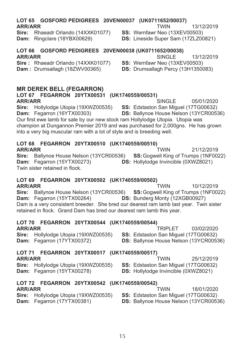#### LOT 65 GOSFORD PEDIGREES 20VEN00037 (UK0711652/00037) **ARR/ARR TWIN**

Sire: Rhaeadr Orlando (14XXK01077) Dam: Ringclare (18YBX00629)

#### LOT 66 GOSFORD PEDIGREES 20VEN00038 (UK0711652/00038) **ARR/ARR** SINGLE<sup>1</sup>

Sire: Rhaeadr Orlando (14XXK01077) Dam: Drumsallagh (18ZWV00365)

## **MR DEREK BELL (FEGARRON)**

## LOT 67 FEGARRON 20YTX00531 (UK1740559/00531) **ARR/ARR**

Sire: Hollylodge Utopia (19XWZ00535) Dam: Fegarron (16YTX00303)

Our first ewe lamb for sale by our new stock ram Hollylodge Utopia. Utopia was champion at Dungannon Premier 2019 and was purchased for 2,000gns. He has grown into a very big muscular ram with a lot of style and is breeding well.

## LOT 68 FEGARRON 20YTX00510 (UK1740559/00510)

**ARR/ARR** Sire: Ballynoe House Nelson (13YCR00536) SS: Gogwell King of Trumps (1NF0022) Dam: Fegarron (15YTX00273) DS: Hollylodge Invincible (0XWZ8021) Twin sister retained in flock.

## LOT 69 FEGARRON 20YTX00502 (UK1740559/00502)

**ARR/ARR TWIN** 10/12/2019 Sire: Ballynoe House Nelson (13YCR00536) **SS: Goawell King of Trumps (1NF0022)** Dam: Fegarron (15YTX00264) DS: Bunderg Monty (12XGB00927) Dam is a very consistent breeder. She bred our dearest ram lamb last year. Twin sister retained in flock. Grand Dam has bred our dearest ram lamb this year.

## LOT 70 FEGARRON 20YTX00544 (UK1740559/00544)

**ARR/ARR** Sire: Hollylodge Utopia (19XWZ00535) Dam: Fegarron (17YTX00372)

#### LOT 71 FEGARRON 20YTX00517 (UK1740559/00517) **ARR/ARR TWIN**

Sire: Hollylodge Utopia (19XWZ00535) Dam: Fegarron (15YTX00278)

#### LOT 72 FEGARRON 20YTX00542 (UK1740559/00542) **ARR/ARR TWIN**

## Sire: Hollylodge Utopia (19XWZ00535) Dam: Fegarron (17YTX00381)

SS: Edstaston San Miquel (17TG00632) **DS: Ballynoe House Nelson (13YCR00536)** 

13/12/2019

- SS: Wernfawr Neo (13XEV00503)
- DS: Lineside Super Sam (17ZLZ00821)

SS: Wernfawr Neo (13XEV00503)

DS: Drumsallagh Percy (13H1350083)

SS: Edstaston San Miquel (17TG00632)

DS: Ballynoe House Nelson (13YCR00536)

21/12/2019 **TWIN** 

SINGLE<sup></sup> 05/01/2020

13/12/2019

03/02/2020 **TRIPLET** SS: Edstaston San Miguel (17TG00632) DS: Ballynoe House Nelson (13YCR00536)

25/12/2019

18/01/2020

SS: Edstaston San Miguel (17TG00632)

**DS:** Hollylodge Invincible (0XWZ8021)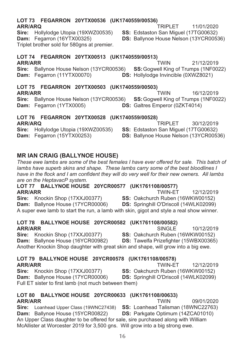### LOT 73 FEGARRON 20YTX00536 (UK1740559/00536) **ARR/ARO**

Sire: Hollylodge Utopia (19XWZ00535) Dam: Fegarron (16YTX00325) Triplet brother sold for 580ans at premier.

### LOT 74 FEGARRON 20YTX00513 (UK1740559/00513) **TWIN**

## **ARR/ARR**

Sire: Ballynoe House Nelson (13YCR00536) SS: Goawell King of Trumps (1NF0022) Dam: Fegarron (11YTX00070) **DS:** Hollylodge Invincible (0XWZ8021)

## LOT 75 FEGARRON 20YTX00503 (UK1740559/00503)

**ARR/ARR** 16/12/2019 Sire: Ballynoe House Nelson (13YCR00536) SS: Gogwell King of Trumps (1NF0022) Dam: Fegarron (1YTX0005) DS: Galtres Emperor (0ZKT4014)

#### LOT 76 FEGARRON 20YTX00528 (UK1740559/00528) TRIPI FT 30/12/2019 **ARR/ARQ** Sire: Hollylodge Utopia (19XWZ00535) SS: Edstaston San Miguel (17TG00632)

Dam: Fegarron (15YTX00253)

## **MR IAN CRAIG (BALLYNOE HOUSE)**

These ewe lambs are some of the best females I have ever offered for sale. This batch of lambs have superb skins and shape. These lambs carry some of the best bloodlines I have in the flock and I am confident they will do very well for their new owners. All lambs are on the HeptavacP system.

LOT 77 BALLYNOE HOUSE 20YCR00577 (UK1761108/00577) **ARR/ARR TWIN-ET** 12/12/2019 Sire: Knockin Shop (17XXJ00377) SS: Oakchurch Ruben (16WKW00152) Dam: Ballynoe House (17YCR00006) **DS:** Springhill O'Driscoll (14WLK02099)

A super ewe lamb to start the run, a lamb with skin, gigot and style a real show winner.

#### LOT 78 BALLYNOE HOUSE 20YCR00582 (UK1761108/00582) **ARR/ARR** SINGLE

Sire: Knockin Shop (17XXJ00377) SS: Oakchurch Ruben (16WKW00152) Dam: Ballynoe House (16YCR00982) DS: Tawelfa Prizefighter (15WBX00365) Another Knockin Shop daughter with great skin and shape, will grow into a big ewe.

|                | LOT 79 BALLYNOE HOUSE 20YCR00578 (UK1761108/00578) |  |                                               |            |
|----------------|----------------------------------------------------|--|-----------------------------------------------|------------|
| <b>ARR/ARR</b> |                                                    |  | TWIN-FT                                       | 12/12/2019 |
|                | Sire: Knockin Shop (17XXJ00377)                    |  | <b>SS: Oakchurch Ruben (16WKW00152)</b>       |            |
|                | <b>Dam:</b> Ballynoe House (17YCR00006)            |  | <b>DS:</b> Springhill O'Driscoll (14WLK02099) |            |

LOT 80 BALLYNOE HOUSE 20YCR00633 (UK1761108/00633) **ARR/ARR TWIN** 

Full ET sister to first lamb (not much between them)

#### 09/01/2020 SS: Loanhead Talisman (18WNC22763) **Sire:** Loanhead Upper Class (19WNC27438) Dam: Ballynoe House (15YCR00822) DS: Parkgate Optimum (14ZCA01010) An Upper Class daughter to be offered for sale, sire purchased along with William McAllister at Worcester 2019 for 3.500 gns. Will grow into a big strong ewe.

**TRIPLET** 11/01/2020

21/12/2019

10/12/2019

SS: Edstaston San Miguel (17TG00632)

**DS: Ballynoe House Nelson (13YCR00536)** 

**TWIN** 

DS: Ballynoe House Nelson (13YCR00536)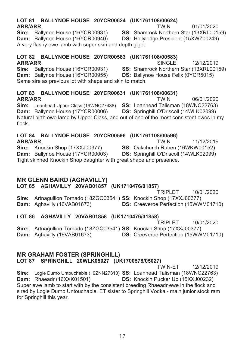#### LOT 81 BALLYNOE HOUSE 20YCR00624 (UK1761108/00624) **ARR/ARR TWIN**

Sire: Ballynoe House (16YCR00931) Dam: Ballynoe House (16YCR00940) A very flashy ewe lamb with super skin and depth gigot.

## LOT 82 BALLYNOE HOUSE 20YCR00583 (UK1761108/00583)

**ARR/ARR** 

Sire: Ballynoe House (16YCR00931) Dam: Ballynoe House (16YCR00955) Same sire as previous lot with shape and skin to match.

#### LOT 83 BALLYNOE HOUSE 20YCR00631 (UK1761108/00631) **ARR/ARR TWIN**

SS: Loanhead Talisman (18WNC22763) Sire: Loanhead Upper Class (19WNC27438) Dam: Ballynoe House (17YCR00006) **DS:** Springhill O'Driscoll (14WLK02099) Natural birth ewe lamb by Upper Class, and out of one of the most consistent ewes in my flock.

## LOT 84 BALLYNOE HOUSE 20YCR00596 (UK1761108/00596)

## **ARR/ARR** Sire: Knockin Shop (17XXJ00377)

Dam: Ballynoe House (17YCR00003) Tight skinned Knockin Shop daughter with great shape and presence.

## **MR GLENN BAIRD (AGHAVILLY)**

LOT 85 AGHAVILLY 20VAB01857 (UK1710476/01857)

**TRIPLET** 10/01/2020 Sire: Artnagullion Tornado (18ZGQ03541) SS: Knockin Shop (17XXJ00377) Dam: Aghavilly (16VAB01673) **DS:** Creeveroe Perfection (15WWM01710)

## LOT 86 AGHAVILLY 20VAB01858 (UK1710476/01858)

10/01/2020 **TRIPLET** Sire: Artnagullion Tornado (18ZGQ03541) SS: Knockin Shop (17XXJ00377) Dam: Aghavilly (16VAB01673) DS: Creeveroe Perfection (15WWM01710)

### **MR GRAHAM FOSTER (SPRINGHILL)** LOT 87 SPRINGHILL 20WLK05027 (UK1700578/05027)

**TWIN-FT** 12/12/2019 Sire: Logie Durno Untouchable (19ZNN27313) SS: Loanhead Talisman (18WNC22763) Dam: Rhaeadr (16XXK01501) **DS:** Knockin Pucker Up (15XXJ00232) Super ewe lamb to start with by the consistent breeding Rhaeadr ewe in the flock and sired by Logie Durno Untouchable. ET sister to Springhill Vodka - main junior stock ram for Springhill this year.

01/01/2020

SS: Shamrock Northern Star (13XRL00159)

**DS: Hollvlodge President (15XWZ00249)** 

SINGLE<sup>1</sup> 12/12/2019 SS: Shamrock Northern Star (13XRL00159)

**DS: Ballynoe House Felix (0YCR5015)** 

06/01/2020

**TWIN** 

11/12/2019 SS: Oakchurch Ruben (16WKW00152)

**DS:** Springhill O'Driscoll (14WLK02099)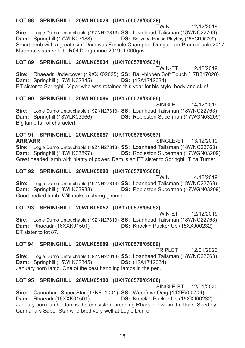## LOT 88 SPRINGHILL 20WLK05028 (UK1700578/05028)

**TWIN** 12/12/2019 Sire: Logie Durno Untouchable (19ZNN27313) SS: Loanhead Talisman (18WNC22763) Dam: Springhill (17WLK03188) **DS: Ballynoe House Playboy (15YCR00799)** Smart lamb with a great skin! Dam was Female Champion Dungannon Premier sale 2017. Maternal sister sold to ROI Dungannon 2019, 1,000qns.

## LOT 89 SPRINGHILL 20WLK05034 (UK1700578/05034)

TWIN-FT 12/12/2019 Sire: Rhaeadr Undercover (19XXK02025) SS: Ballyhibben Soft Touch (17B317020) Dam: Springhill (15WLK02345) **DS:** (12A1712034) ET sister to Springhill Viper who was retained this year for his style, body and skin!

## LOT 90 SPRINGHILL 20WLK05086 (UK1700578/05086)

SINGLE 14/12/2019 Sire: Logie Durno Untouchable (19ZNN27313) SS: Loanhead Talisman (18WNC22763) **DS: Robleston Superman (17WGN03209)** Dam: Springhill (18WLK03966) Big lamb full of character!

## LOT 91 SPRINGHILL 20WLK05057 (UK1700578/05057)

**ARR/ARR** SINGLE-ET 13/12/2019 Sire: Logie Durno Untouchable (19ZNN27313) SS: Loanhead Talisman (18WNC22763) DS: Robleston Superman (17WGN03209) Dam: Springhill (18WLK03897) Great headed lamb with plenty of power. Dam is an ET sister to Springhill Tina Turner.

## LOT 92 SPRINGHILL 20WLK05080 (UK1700578/05080)

**TWIN** 14/12/2019 Sire: Logie Durno Untouchable (19ZNN27313) SS: Loanhead Talisman (18WNC22763) **DS: Robleston Superman (17WGN03209)** Dam: Springhill (18WLK03938) Good bodied lamb. Will make a strong gimmer.

## LOT 93 SPRINGHILL 20WLK05052 (UK1700578/05052)

**TWIN-FT** 12/12/2019 Sire: Logie Durno Untouchable (19ZNN27313) SS: Loanhead Talisman (18WNC22763) Dam: Rhaeadr (16XXK01501) **DS:** Knockin Pucker Up (15XXJ00232) FT sister to lot 87.

## LOT 94 SPRINGHILL 20WLK05089 (UK1700578/05089)

TRIPI FT 12/01/2020 Sire: Logie Durno Untouchable (19ZNN27313) SS: Loanhead Talisman (18WNC22763) Dam: Springhill (15WLK02345) **DS:** (12A1712034) January born lamb. One of the best handling lambs in the pen.

## LOT 95 SPRINGHILL 20WLK05100 (UK1700578/05100)

SINGLE-FT 12/01/2020 Sire: Cannahars Super Star (17KF01001) SS: Wernfawr Omg (14XEV00704) Dam: Rhaeadr (16XXK01501) **DS:** Knockin Pucker Up (15XXJ00232) January born lamb. Dam is the consistent breeding Rhaeadr ewe in the flock. Sired by Cannahars Super Star who bred very well at Logie Durno.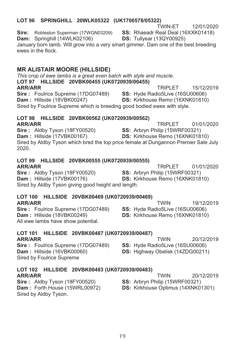## LOT 96 SPRINGHILL 20WLK05322 (UK1700578/05322)

TWIN-FT 12/01/2020

15/12/2019

01/01/2020

SS: Rhaeadr Real Deal (16XXK01418) **DS: Tullvear (13QY00925)** 

Dam: Springhill (14WLK02106)

Sire: Robleston Superman (17WGN03209)

January born lamb. Will grow into a very smart gimmer. Dam one of the best breeding ewes in the flock

## **MR ALISTAIR MOORE (HILLSIDE)**

This crop of ewe lambs is a great even batch with style and muscle. LOT 97 HILLSIDE 20VBK00455 (UK0720939/00455)

## **ARR/ARR**

**TRIPLET** SS: Hyde Radio5Live (16SU00606) Sire: Foulrice Supreme (17DG07489) Dam: Hillside (18VBK00247) DS: Kirkhouse Remo (16XNK01810)

Sired by Foulrice Supreme which is breeding good bodied ewes with style.

## LOT 98 HILLSIDE 20VBK00562 (UK0720939/00562)

**TRIPLET ARR/ARR** 01/01/2020 Sire: Aldby Tyson (18FY00520) SS: Arbryn Philip (15WRF00321) Dam: Hillside (17VBK00167) DS: Kirkhouse Remo (16XNK01810) Sired by Aldby Tyson which bred the top price female at Dungannon Premier Sale July 2020

## LOT 99 HILLSIDE 20VBK00555 (UK0720939/00555)

## **ARR/ARR**

Sire: Aldby Tyson (18FY00520) SS: Arbryn Philip (15WRF00321) Dam: Hillside (17VBK00176) DS: Kirkhouse Remo (16XNK01810) Sired by Aldby Tyson giving good height and length.

## LOT 100 HILLSIDE 20VBK00469 (UK0720939/00469)

## **ARR/ARR**

Sire: Foulrice Supreme (17DG07489) Dam: Hillside (18VBK00249) All ewe lambs have show potential.

### LOT 101 HILLSIDE 20VBK00487 (UK0720939/00487) **ARR/ARR**

Sire: Foulrice Supreme (17DG07489) Dam: Hillside (16VBK00060) Sired by Foulrice Supreme

## LOT 102 HILLSIDE 20VBK00483 (UK0720939/00483) **ARR/ARR**

Sire: Aldby Tyson (18FY00520) Dam: Forth House (15WRL00972) Sired by Aldby Tyson.

SS: Arbryn Philip (15WRF00321) DS: Kirkhouse Optimus (14XNK01301)

**TWIN** 19/12/2019

SS: Hyde Radio5Live (16SU00606)

TRIPI FT

DS: Kirkhouse Remo (16XNK01810)

DS: Highway Obelisk (14ZDG00211)

**TWIN** 

**TWIN** 

20/12/2019

20/12/2019

SS: Hyde Radio5Live (16SU00606)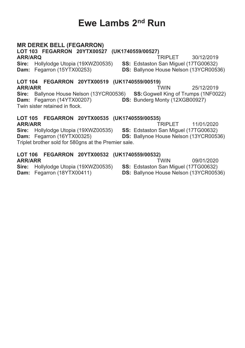## Ewe Lambs 2<sup>nd</sup> Run

## **MR DEREK BELL (FEGARRON)**

LOT 103 FEGARRON 20YTX00527 (UK1740559/00527)

ARR/ARO Sire: Hollylodge Utopia (19XWZ00535) Dam: Fegarron (15YTX00253)

TRIPI FT 30/12/2019 SS: Edstaston San Miquel (17TG00632)

LOT 104 FEGARRON 20YTX00519 (UK1740559/00519) **ARR/ARR TWIN** 25/12/2019 Sire: Ballynoe House Nelson (13YCR00536) SS: Goawell King of Trumps (1NF0022) Dam: Fegarron (14YTX00207) DS: Bunderg Monty (12XGB00927) Twin sister retained in flock.

#### LOT 105 FEGARRON 20YTX00535 (UK1740559/00535) **ARR/ARR** TRIPI FT

Sire: Hollylodge Utopia (19XWZ00535) Dam: Fegarron (16YTX00325) Triplet brother sold for 580gns at the Premier sale.

LOT 106 FEGARRON 20YTX00532 (UK1740559/00532) **ARR/ARR TWIN** 

Sire: Hollylodge Utopia (19XWZ00535)

Dam: Fegarron (18YTX00411)

09/01/2020 SS: Edstaston San Miquel (17TG00632)

11/01/2020

DS: Ballynoe House Nelson (13YCR00536)

SS: Edstaston San Miquel (17TG00632)

**DS:** Ballynoe House Nelson (13YCR00536)

DS: Ballynoe House Nelson (13YCR00536)